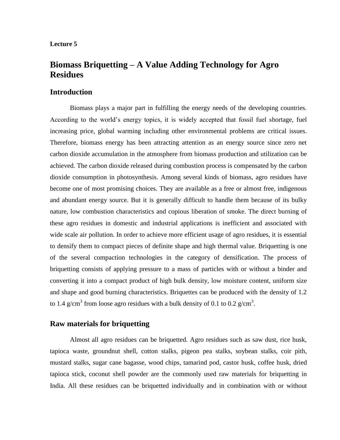#### **Lecture 5**

# **Biomass Briquetting – A Value Adding Technology for Agro Residues**

### **Introduction**

Biomass plays a major part in fulfilling the energy needs of the developing countries. According to the world's energy topics, it is widely accepted that fossil fuel shortage, fuel increasing price, global warming including other environmental problems are critical issues. Therefore, biomass energy has been attracting attention as an energy source since zero net carbon dioxide accumulation in the atmosphere from biomass production and utilization can be achieved. The carbon dioxide released during combustion process is compensated by the carbon dioxide consumption in photosynthesis. Among several kinds of biomass, agro residues have become one of most promising choices. They are available as a free or almost free, indigenous and abundant energy source. But it is generally difficult to handle them because of its bulky nature, low combustion characteristics and copious liberation of smoke. The direct burning of these agro residues in domestic and industrial applications is inefficient and associated with wide scale air pollution. In order to achieve more efficient usage of agro residues, it is essential to densify them to compact pieces of definite shape and high thermal value. Briquetting is one of the several compaction technologies in the category of densification. The process of briquetting consists of applying pressure to a mass of particles with or without a binder and converting it into a compact product of high bulk density, low moisture content, uniform size and shape and good burning characteristics. Briquettes can be produced with the density of 1.2 to 1.4 g/cm<sup>3</sup> from loose agro residues with a bulk density of 0.1 to 0.2 g/cm<sup>3</sup>.

### **Raw materials for briquetting**

Almost all agro residues can be briquetted. Agro residues such as saw dust, rice husk, tapioca waste, groundnut shell, cotton stalks, pigeon pea stalks, soybean stalks, coir pith, mustard stalks, sugar cane bagasse, wood chips, tamarind pod, castor husk, coffee husk, dried tapioca stick, coconut shell powder are the commonly used raw materials for briquetting in India. All these residues can be briquetted individually and in combination with or without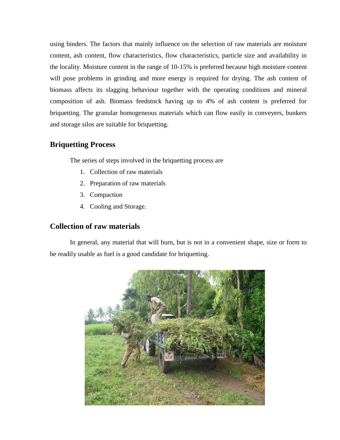using binders. The factors that mainly influence on the selection of raw materials are moisture content, ash content, flow characteristics, flow characteristics, particle size and availability in the locality. Moisture content in the range of 10-15% is preferred because high moisture content will pose problems in grinding and more energy is required for drying. The ash content of biomass affects its slagging behaviour together with the operating conditions and mineral composition of ash. Biomass feedstock having up to 4% of ash content is preferred for briquetting. The granular homogeneous materials which can flow easily in conveyers, bunkers and storage silos are suitable for briquetting.

## **Briquetting Process**

The series of steps involved in the briquetting process are

- 1. Collection of raw materials
- 2. Preparation of raw materials
- 3. Compaction
- 4. Cooling and Storage.

## **Collection of raw materials**

In general, any material that will burn, but is not in a convenient shape, size or form to be readily usable as fuel is a good candidate for briquetting.

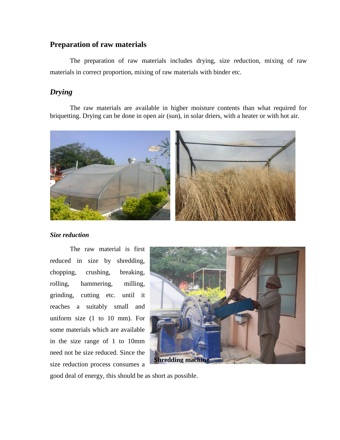## **Preparation of raw materials**

The preparation of raw materials includes drying, size reduction, mixing of raw materials in correct proportion, mixing of raw materials with binder etc.

## *Drying*

The raw materials are available in higher moisture contents than what required for briquetting. Drying can be done in open air (sun), in solar driers, with a heater or with hot air.



#### *Size reduction*

The raw material is first reduced in size by shredding, chopping, crushing, breaking, rolling, hammering, milling, grinding, cutting etc. until it reaches a suitably small and uniform size (1 to 10 mm). For some materials which are available in the size range of 1 to 10mm need not be size reduced. Since the size reduction process consumes a



good deal of energy, this should be as short as possible.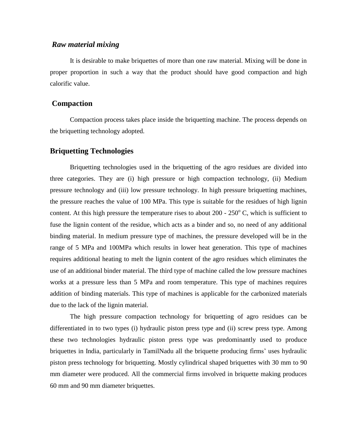### *Raw material mixing*

It is desirable to make briquettes of more than one raw material. Mixing will be done in proper proportion in such a way that the product should have good compaction and high calorific value.

#### **Compaction**

Compaction process takes place inside the briquetting machine. The process depends on the briquetting technology adopted.

### **Briquetting Technologies**

Briquetting technologies used in the briquetting of the agro residues are divided into three categories. They are (i) high pressure or high compaction technology, (ii) Medium pressure technology and (iii) low pressure technology. In high pressure briquetting machines, the pressure reaches the value of 100 MPa. This type is suitable for the residues of high lignin content. At this high pressure the temperature rises to about  $200 - 250^{\circ}$  C, which is sufficient to fuse the lignin content of the residue, which acts as a binder and so, no need of any additional binding material. In medium pressure type of machines, the pressure developed will be in the range of 5 MPa and 100MPa which results in lower heat generation. This type of machines requires additional heating to melt the lignin content of the agro residues which eliminates the use of an additional binder material. The third type of machine called the low pressure machines works at a pressure less than 5 MPa and room temperature. This type of machines requires addition of binding materials. This type of machines is applicable for the carbonized materials due to the lack of the lignin material.

The high pressure compaction technology for briquetting of agro residues can be differentiated in to two types (i) hydraulic piston press type and (ii) screw press type. Among these two technologies hydraulic piston press type was predominantly used to produce briquettes in India, particularly in TamilNadu all the briquette producing firms' uses hydraulic piston press technology for briquetting. Mostly cylindrical shaped briquettes with 30 mm to 90 mm diameter were produced. All the commercial firms involved in briquette making produces 60 mm and 90 mm diameter briquettes.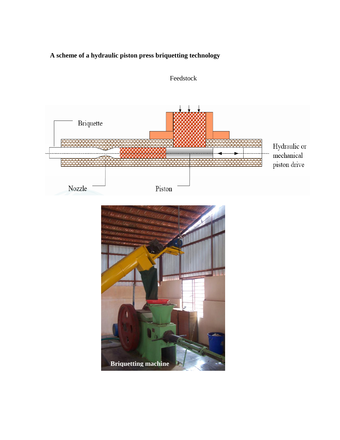# **A scheme of a hydraulic piston press briquetting technology**



Feedstock

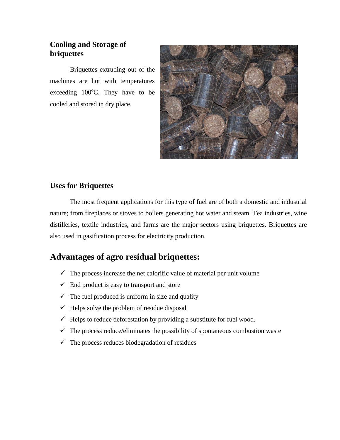## **Cooling and Storage of briquettes**

Briquettes extruding out of the machines are hot with temperatures exceeding  $100^{\circ}$ C. They have to be cooled and stored in dry place.



## **Uses for Briquettes**

The most frequent applications for this type of fuel are of both a domestic and industrial nature; from fireplaces or stoves to boilers generating hot water and steam. Tea industries, wine distilleries, textile industries, and farms are the major sectors using briquettes. Briquettes are also used in gasification process for electricity production.

# **Advantages of agro residual briquettes:**

- $\checkmark$  The process increase the net calorific value of material per unit volume
- $\checkmark$  End product is easy to transport and store
- $\checkmark$  The fuel produced is uniform in size and quality
- $\checkmark$  Helps solve the problem of residue disposal
- $\checkmark$  Helps to reduce deforestation by providing a substitute for fuel wood.
- $\checkmark$  The process reduce/eliminates the possibility of spontaneous combustion waste
- $\checkmark$  The process reduces biodegradation of residues